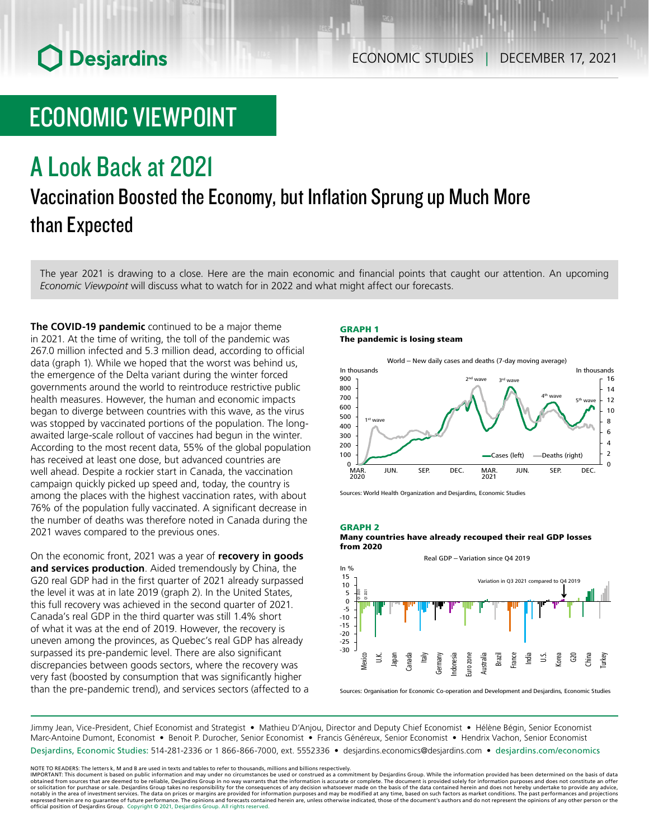# ECONOMIC VIEWPOINT

## A Look Back at 2021

## Vaccination Boosted the Economy, but Inflation Sprung up Much More than Expected

The year 2021 is drawing to a close. Here are the main economic and financial points that caught our attention. An upcoming *Economic Viewpoint* will discuss what to watch for in 2022 and what might affect our forecasts.

**The COVID‑19 pandemic** continued to be a major theme in 2021. At the time of writing, the toll of the pandemic was 267.0 million infected and 5.3 million dead, according to official data (graph 1). While we hoped that the worst was behind us, the emergence of the Delta variant during the winter forced governments around the world to reintroduce restrictive public health measures. However, the human and economic impacts began to diverge between countries with this wave, as the virus was stopped by vaccinated portions of the population. The longawaited large-scale rollout of vaccines had begun in the winter. According to the most recent data, 55% of the global population has received at least one dose, but advanced countries are well ahead. Despite a rockier start in Canada, the vaccination campaign quickly picked up speed and, today, the country is among the places with the highest vaccination rates, with about 76% of the population fully vaccinated. A significant decrease in the number of deaths was therefore noted in Canada during the 2021 waves compared to the previous ones.

On the economic front, 2021 was a year of **recovery in goods and services production**. Aided tremendously by China, the G20 real GDP had in the first quarter of 2021 already surpassed the level it was at in late 2019 (graph 2). In the United States, this full recovery was achieved in the second quarter of 2021. Canada's real GDP in the third quarter was still 1.4% short of what it was at the end of 2019. However, the recovery is uneven among the provinces, as Quebec's real GDP has already surpassed its pre-pandemic level. There are also significant discrepancies between goods sectors, where the recovery was very fast (boosted by consumption that was significantly higher than the pre-pandemic trend), and services sectors (affected to a

### GRAPH 1 The pandemic is losing steam



Sources: World Health Organization and Desjardins, Economic Studies

#### GRAPH 2 Many countries have already recouped their real GDP losses from 2020



Sources: Organisation for Economic Co-operation and Development and Desjardins, Economic Studies

Jimmy Jean, Vice-President, Chief Economist and Strategist • Mathieu D'Anjou, Director and Deputy Chief Economist • Hélène Bégin, Senior Economist Marc-Antoine Dumont, Economist • Benoit P. Durocher, Senior Economist • Francis Généreux, Senior Economist • Hendrix Vachon, Senior Economist Desjardins, Economic Studies: 514-281-2336 or 1 866-866-7000, ext. 5552336 • desjardins.economics@desjardins.com • [desjardins.com/economics](http://desjardins.com/economics)

NOTE TO READERS: The letters k, M and B are used in texts and tables to refer to thousands, millions and billions respectively.<br>IMPORTANT: This document is based on public information and may under no circumstances be used obtained from sources that are deemed to be reliable, Desjardins Group in no way warrants that the information is accurate or complete. The document is provided solely for information purposes and does not constitute an of expressed herein are no guarantee of future performance. The opinions and forecasts contained herein are, unless otherwise indicated, those of the document's authors and do not represent the opinions of any other person or official position of Desjardins Group. Copyright © 2021, Desjardins Group. All rights reserved.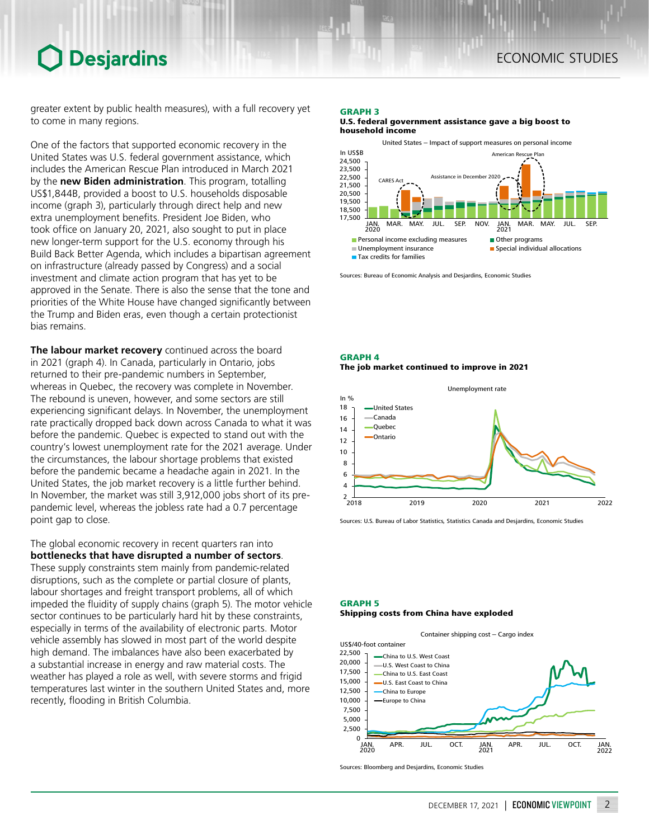greater extent by public health measures), with a full recovery yet to come in many regions.

One of the factors that supported economic recovery in the United States was U.S. federal government assistance, which includes the American Rescue Plan introduced in March 2021 by the **new Biden administration**. This program, totalling US\$1,844B, provided a boost to U.S. households disposable income (graph 3), particularly through direct help and new extra unemployment benefits. President Joe Biden, who took office on January 20, 2021, also sought to put in place new longer-term support for the U.S. economy through his Build Back Better Agenda, which includes a bipartisan agreement on infrastructure (already passed by Congress) and a social investment and climate action program that has yet to be approved in the Senate. There is also the sense that the tone and priorities of the White House have changed significantly between the Trump and Biden eras, even though a certain protectionist bias remains.

**The labour market recovery** continued across the board in 2021 (graph 4). In Canada, particularly in Ontario, jobs returned to their pre-pandemic numbers in September, whereas in Quebec, the recovery was complete in November. The rebound is uneven, however, and some sectors are still experiencing significant delays. In November, the unemployment rate practically dropped back down across Canada to what it was before the pandemic. Quebec is expected to stand out with the country's lowest unemployment rate for the 2021 average. Under the circumstances, the labour shortage problems that existed before the pandemic became a headache again in 2021. In the United States, the job market recovery is a little further behind. In November, the market was still 3,912,000 jobs short of its prepandemic level, whereas the jobless rate had a 0.7 percentage point gap to close.

The global economic recovery in recent quarters ran into **bottlenecks that have disrupted a number of sectors**. These supply constraints stem mainly from pandemic-related disruptions, such as the complete or partial closure of plants, labour shortages and freight transport problems, all of which impeded the fluidity of supply chains (graph 5). The motor vehicle sector continues to be particularly hard hit by these constraints, especially in terms of the availability of electronic parts. Motor vehicle assembly has slowed in most part of the world despite high demand. The imbalances have also been exacerbated by a substantial increase in energy and raw material costs. The weather has played a role as well, with severe storms and frigid temperatures last winter in the southern United States and, more recently, flooding in British Columbia.

### GRAPH 3

U.S. federal government assistance gave a big boost to household income



Sources: Bureau of Economic Analysis and Desjardins, Economic Studies

## GRAPH 4 The job market continued to improve in 2021



Sources: U.S. Bureau of Labor Statistics, Statistics Canada and Desjardins, Economic Studies

## GRAPH 5

#### Shipping costs from China have exploded



Sources: Bloomberg and Desjardins, Economic Studies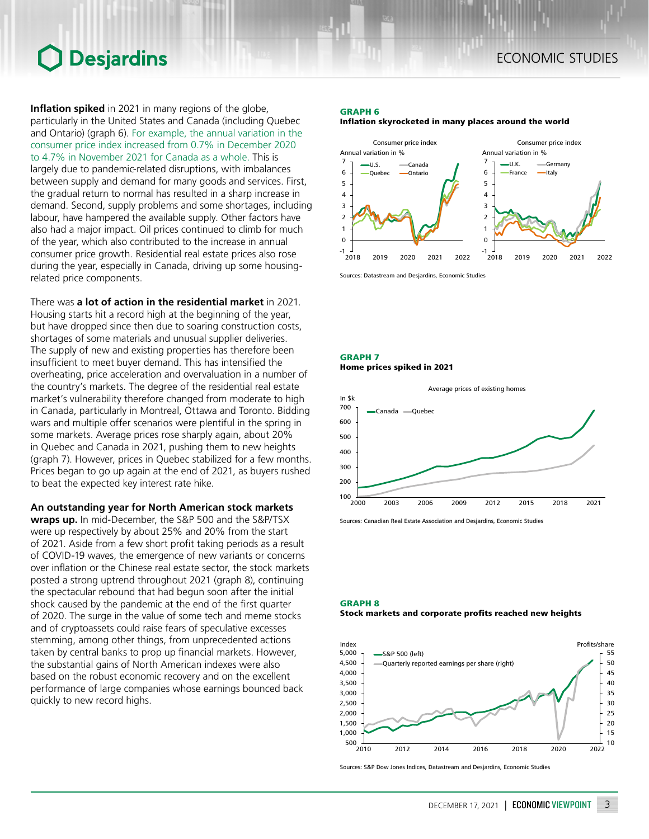**Inflation spiked** in 2021 in many regions of the globe, particularly in the United States and Canada (including Quebec and Ontario) (graph 6). For example, the annual variation in the consumer price index increased from 0.7% in December 2020 to 4.7% in November 2021 for Canada as a whole. This is largely due to pandemic-related disruptions, with imbalances between supply and demand for many goods and services. First, the gradual return to normal has resulted in a sharp increase in demand. Second, supply problems and some shortages, including labour, have hampered the available supply. Other factors have also had a major impact. Oil prices continued to climb for much of the year, which also contributed to the increase in annual consumer price growth. Residential real estate prices also rose during the year, especially in Canada, driving up some housingrelated price components.

There was **a lot of action in the residential market** in 2021. Housing starts hit a record high at the beginning of the year, but have dropped since then due to soaring construction costs, shortages of some materials and unusual supplier deliveries. The supply of new and existing properties has therefore been insufficient to meet buyer demand. This has intensified the overheating, price acceleration and overvaluation in a number of the country's markets. The degree of the residential real estate market's vulnerability therefore changed from moderate to high in Canada, particularly in Montreal, Ottawa and Toronto. Bidding wars and multiple offer scenarios were plentiful in the spring in some markets. Average prices rose sharply again, about 20% in Quebec and Canada in 2021, pushing them to new heights (graph 7). However, prices in Quebec stabilized for a few months. Prices began to go up again at the end of 2021, as buyers rushed to beat the expected key interest rate hike.

## **An outstanding year for North American stock markets**

**wraps up.** In mid-December, the S&P 500 and the S&P/TSX were up respectively by about 25% and 20% from the start of 2021. Aside from a few short profit taking periods as a result of COVID-19 waves, the emergence of new variants or concerns over inflation or the Chinese real estate sector, the stock markets posted a strong uptrend throughout 2021 (graph 8), continuing the spectacular rebound that had begun soon after the initial shock caused by the pandemic at the end of the first quarter of 2020. The surge in the value of some tech and meme stocks and of cryptoassets could raise fears of speculative excesses stemming, among other things, from unprecedented actions taken by central banks to prop up financial markets. However, the substantial gains of North American indexes were also based on the robust economic recovery and on the excellent performance of large companies whose earnings bounced back quickly to new record highs.

## GRAPH 6 Inflation skyrocketed in many places around the world



Sources: Datastream and Desjardins, Economic Studies

## GRAPH 7 Home prices spiked in 2021



Sources: Canadian Real Estate Association and Desjardins, Economic Studies

### GRAPH 8 Stock markets and corporate profits reached new heights



Sources: S&P Dow Jones Indices, Datastream and Desjardins, Economic Studies